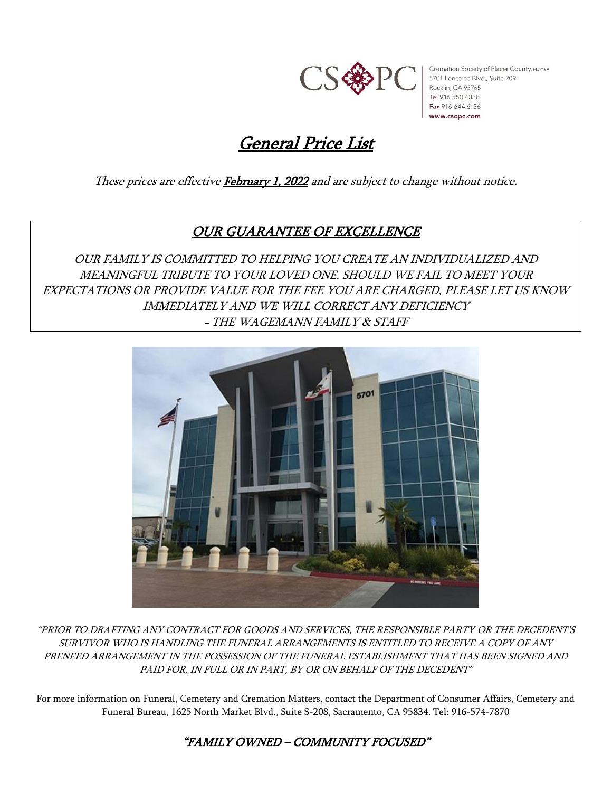

Cremation Society of Placer County, FD2199 5701 Lonetree Blvd., Suite 209 Rocklin, CA 95765 Tel 916,550,4338 Fax 916.644.6136 www.csopc.com

# General Price List

These prices are effective **February 1, 2022** and are subject to change without notice.

## OUR GUARANTEE OF EXCELLENCE

OUR FAMILY IS COMMITTED TO HELPING YOU CREATE AN INDIVIDUALIZED AND MEANINGFUL TRIBUTE TO YOUR LOVED ONE. SHOULD WE FAIL TO MEET YOUR EXPECTATIONS OR PROVIDE VALUE FOR THE FEE YOU ARE CHARGED, PLEASE LET US KNOW IMMEDIATELY AND WE WILL CORRECT ANY DEFICIENCY - THE WAGEMANN FAMILY & STAFF



"PRIOR TO DRAFTING ANY CONTRACT FOR GOODS AND SERVICES, THE RESPONSIBLE PARTY OR THE DECEDENT'S SURVIVOR WHO IS HANDLING THE FUNERAL ARRANGEMENTS IS ENTITLED TO RECEIVE A COPY OF ANY PRENEED ARRANGEMENT IN THE POSSESSION OF THE FUNERAL ESTABLISHMENT THAT HAS BEEN SIGNED AND PAID FOR, IN FULL OR IN PART, BY OR ON BEHALF OF THE DECEDENT"

For more information on Funeral, Cemetery and Cremation Matters, contact the Department of Consumer Affairs, Cemetery and Funeral Bureau, 1625 North Market Blvd., Suite S-208, Sacramento, CA 95834, Tel: 916-574-7870

## "FAMILY OWNED – COMMUNITY FOCUSED"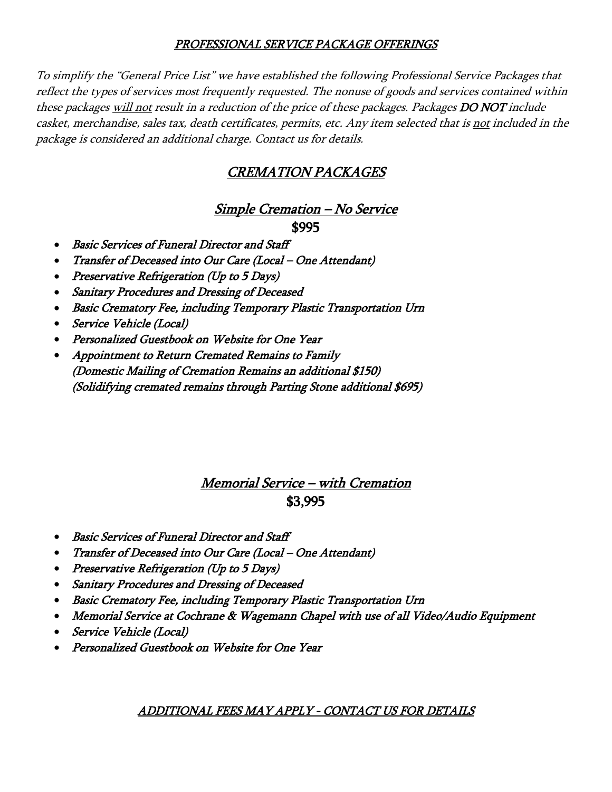### PROFESSIONAL SERVICE PACKAGE OFFERINGS

To simplify the "General Price List" we have established the following Professional Service Packages that reflect the types of services most frequently requested. The nonuse of goods and services contained within these packages will not result in a reduction of the price of these packages. Packages DO NOT include casket, merchandise, sales tax, death certificates, permits, etc. Any item selected that is not included in the package is considered an additional charge. Contact us for details.

## CREMATION PACKAGES

## Simple Cremation – No Service \$995

- Basic Services of Funeral Director and Staff
- Transfer of Deceased into Our Care (Local One Attendant)
- Preservative Refrigeration (Up to 5 Days)
- Sanitary Procedures and Dressing of Deceased
- Basic Crematory Fee, including Temporary Plastic Transportation Urn
- Service Vehicle (Local)
- Personalized Guestbook on Website for One Year
- Appointment to Return Cremated Remains to Family (Domestic Mailing of Cremation Remains an additional \$150) (Solidifying cremated remains through Parting Stone additional \$695)

## Memorial Service – with Cremation \$3,995

- Basic Services of Funeral Director and Staff
- Transfer of Deceased into Our Care (Local One Attendant)
- Preservative Refrigeration (Up to 5 Days)
- Sanitary Procedures and Dressing of Deceased
- Basic Crematory Fee, including Temporary Plastic Transportation Urn
- Memorial Service at Cochrane & Wagemann Chapel with use of all Video/Audio Equipment
- Service Vehicle (Local)
- Personalized Guestbook on Website for One Year

### ADDITIONAL FEES MAY APPLY - CONTACT US FOR DETAILS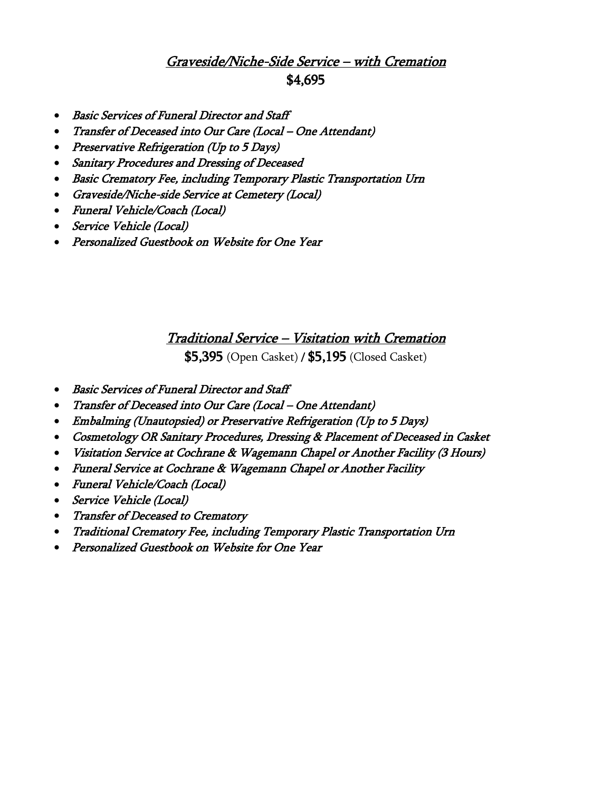## Graveside/Niche-Side Service – with Cremation \$4,695

- Basic Services of Funeral Director and Staff
- Transfer of Deceased into Our Care (Local One Attendant)
- Preservative Refrigeration (Up to 5 Days)
- Sanitary Procedures and Dressing of Deceased
- Basic Crematory Fee, including Temporary Plastic Transportation Urn
- Graveside/Niche-side Service at Cemetery (Local)
- Funeral Vehicle/Coach (Local)
- Service Vehicle (Local)
- Personalized Guestbook on Website for One Year

## Traditional Service – Visitation with Cremation

\$5,395 (Open Casket) / \$5,195 (Closed Casket)

- Basic Services of Funeral Director and Staff
- Transfer of Deceased into Our Care (Local One Attendant)
- Embalming (Unautopsied) or Preservative Refrigeration (Up to 5 Days)
- Cosmetology OR Sanitary Procedures, Dressing & Placement of Deceased in Casket
- Visitation Service at Cochrane & Wagemann Chapel or Another Facility (3 Hours)
- Funeral Service at Cochrane & Wagemann Chapel or Another Facility
- Funeral Vehicle/Coach (Local)
- Service Vehicle (Local)
- Transfer of Deceased to Crematory
- Traditional Crematory Fee, including Temporary Plastic Transportation Urn
- Personalized Guestbook on Website for One Year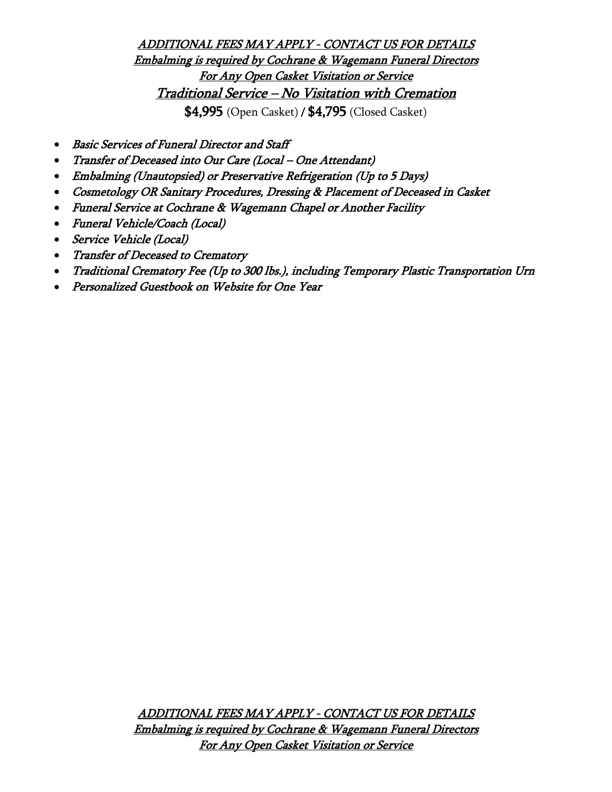ADDITIONAL FEES MAY APPLY - CONTACT US FOR DETAILS Embalming is required by Cochrane & Wagemann Funeral Directors For Any Open Casket Visitation or Service Traditional Service – No Visitation with Cremation \$4,995 (Open Casket) / \$4,795 (Closed Casket)

- Basic Services of Funeral Director and Staff
- Transfer of Deceased into Our Care (Local One Attendant)
- Embalming (Unautopsied) or Preservative Refrigeration (Up to 5 Days)
- Cosmetology OR Sanitary Procedures, Dressing & Placement of Deceased in Casket
- Funeral Service at Cochrane & Wagemann Chapel or Another Facility
- Funeral Vehicle/Coach (Local)
- Service Vehicle (Local)
- Transfer of Deceased to Crematory
- Traditional Crematory Fee (Up to 300 lbs.), including Temporary Plastic Transportation Urn
- Personalized Guestbook on Website for One Year

ADDITIONAL FEES MAY APPLY - CONTACT US FOR DETAILS Embalming is required by Cochrane & Wagemann Funeral Directors For Any Open Casket Visitation or Service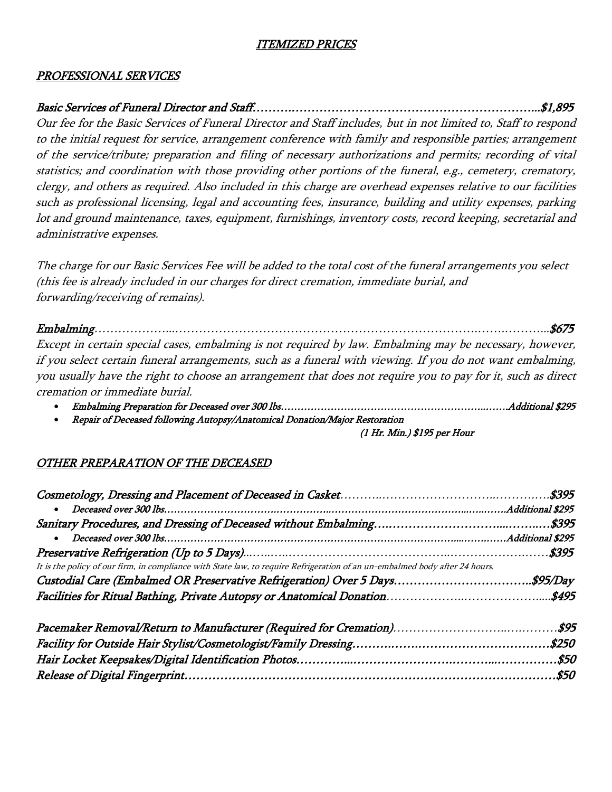### ITEMIZED PRICES

#### PROFESSIONAL SERVICES

Basic Services of Funeral Director and Staff……….……………………………………………………...\$1,895

Our fee for the Basic Services of Funeral Director and Staff includes, but in not limited to, Staff to respond to the initial request for service, arrangement conference with family and responsible parties; arrangement of the service/tribute; preparation and filing of necessary authorizations and permits; recording of vital statistics; and coordination with those providing other portions of the funeral, e.g., cemetery, crematory, clergy, and others as required. Also included in this charge are overhead expenses relative to our facilities such as professional licensing, legal and accounting fees, insurance, building and utility expenses, parking lot and ground maintenance, taxes, equipment, furnishings, inventory costs, record keeping, secretarial and administrative expenses.

The charge for our Basic Services Fee will be added to the total cost of the funeral arrangements you select (this fee is already included in our charges for direct cremation, immediate burial, and forwarding/receiving of remains).

Embalming………………...………………………………………………………………….…….………...\$675 Except in certain special cases, embalming is not required by law. Embalming may be necessary, however, if you select certain funeral arrangements, such as a funeral with viewing. If you do not want embalming, you usually have the right to choose an arrangement that does not require you to pay for it, such as direct cremation or immediate burial.

- Embalming Preparation for Deceased over 300 lbs……………………………………………………..…….Additional \$295
- Repair of Deceased following Autopsy/Anatomical Donation/Major Restoration

(1 Hr. Min.) \$195 per Hour

#### OTHER PREPARATION OF THE DECEASED

| $\bullet$                                                                                                                   |  |
|-----------------------------------------------------------------------------------------------------------------------------|--|
|                                                                                                                             |  |
| It is the policy of our firm, in compliance with State law, to require Refrigeration of an un-embalmed body after 24 hours. |  |
|                                                                                                                             |  |
|                                                                                                                             |  |
|                                                                                                                             |  |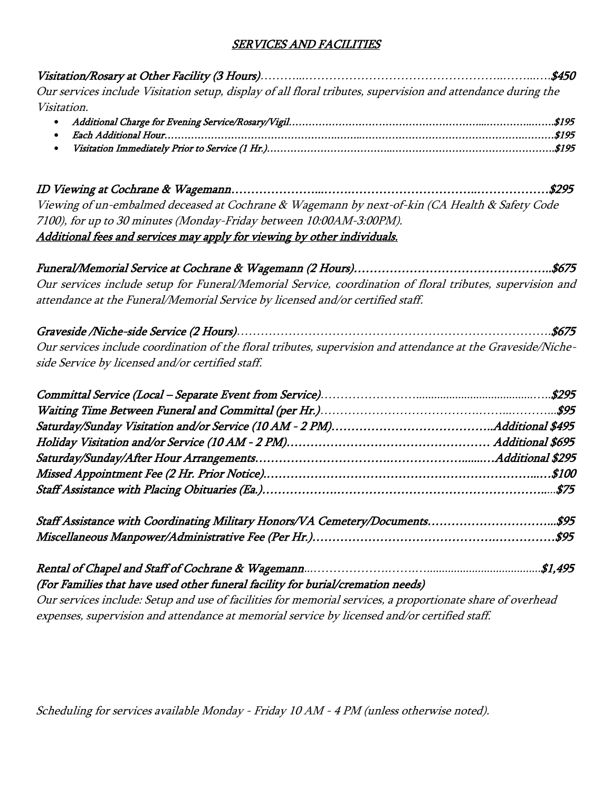## SERVICES AND FACILITIES

Visitation/Rosary at Other Facility (3 Hours)………...…………………………………………..……...….\$450 Our services include Visitation setup, display of all floral tributes, supervision and attendance during the Visitation.

- Additional Charge for Evening Service/Rosary/Vigil…………………………………………………...…………..…….\$1<sup>95</sup>
- Each Additional Hour…………………………………………….……..………………………………………….………\$195 • Visitation Immediately Prior to Service (1 Hr.)………………………………..………………………………………….\$1<sup>95</sup>

ID Viewing at Cochrane & Wagemann…………………...…….…………………………..………………\$<sup>295</sup> Viewing of un-embalmed deceased at Cochrane & Wagemann by next-of-kin (CA Health & Safety Code 7100), for up to 30 minutes (Monday-Friday between 10:00AM-3:00PM). Additional fees and services may apply for viewing by other individuals.

Funeral/Memorial Service at Cochrane & Wagemann (2 Hours)…………………………………………..\$675 Our services include setup for Funeral/Memorial Service, coordination of floral tributes, supervision and attendance at the Funeral/Memorial Service by licensed and/or certified staff.

Graveside /Niche-side Service (2 Hours)…………………………………………………………………….\$675 Our services include coordination of the floral tributes, supervision and attendance at the Graveside/Nicheside Service by licensed and/or certified staff.

Staff Assistance with Coordinating Military Honors/VA Cemetery/Documents…………………………...\$95 Miscellaneous Manpower/Administrative Fee (Per Hr.)……………………………………….……………\$95

Rental of Chapel and Staff of Cochrane & Wagemann...……………….…….…......................................\$1,495 (For Families that have used other funeral facility for burial/cremation needs)

Our services include: Setup and use of facilities for memorial services, a proportionate share of overhead expenses, supervision and attendance at memorial service by licensed and/or certified staff.

Scheduling for services available Monday - Friday 10 AM - 4 PM (unless otherwise noted).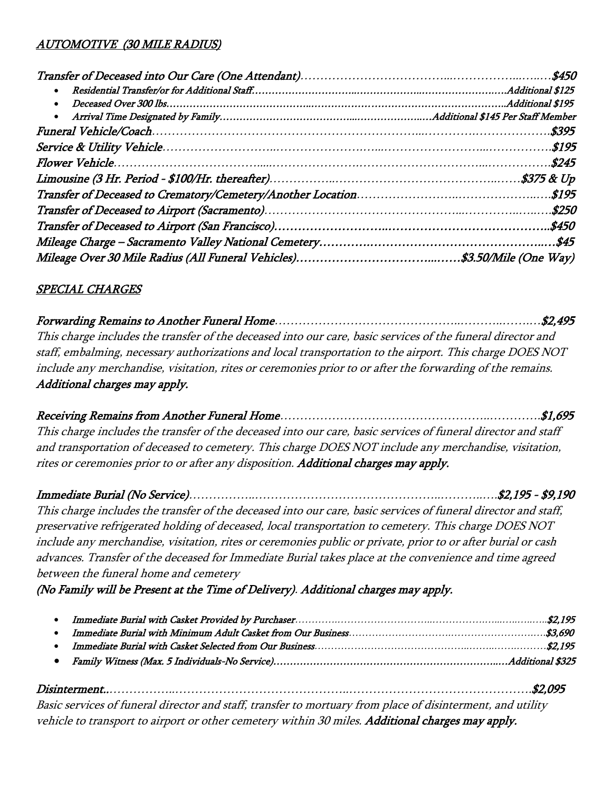## AUTOMOTIVE (30 MILE RADIUS)

| $\bullet$ |  |
|-----------|--|
|           |  |
|           |  |
|           |  |
|           |  |
|           |  |
|           |  |
|           |  |
|           |  |
|           |  |

#### SPECIAL CHARGES

Forwarding Remains to Another Funeral Home………………………………………..………..…….…\$2,495 This charge includes the transfer of the deceased into our care, basic services of the funeral director and staff, embalming, necessary authorizations and local transportation to the airport. This charge DOES NOT include any merchandise, visitation, rites or ceremonies prior to or after the forwarding of the remains. Additional charges may apply.

Receiving Remains from Another Funeral Home……………………………………………..………….\$1,695 This charge includes the transfer of the deceased into our care, basic services of funeral director and staff and transportation of deceased to cemetery. This charge DOES NOT include any merchandise, visitation, rites or ceremonies prior to or after any disposition. Additional charges may apply.

Immediate Burial (No Service)……………..………………………………………..………..….\$2,195 - \$9,190 This charge includes the transfer of the deceased into our care, basic services of funeral director and staff, preservative refrigerated holding of deceased, local transportation to cemetery. This charge DOES NOT include any merchandise, visitation, rites or ceremonies public or private, prior to or after burial or cash advances. Transfer of the deceased for Immediate Burial takes place at the convenience and time agreed between the funeral home and cemetery

(No Family will be Present at the Time of Delivery). Additional charges may apply.

| $\bullet$<br>$\bullet$                                                                                                                                                                                         |  |
|----------------------------------------------------------------------------------------------------------------------------------------------------------------------------------------------------------------|--|
|                                                                                                                                                                                                                |  |
| Basic services of funeral director and staff, transfer to mortuary from place of disinterment, and utility<br>vehicle to transport to airport or other cemetery within 30 miles. Additional charges may apply. |  |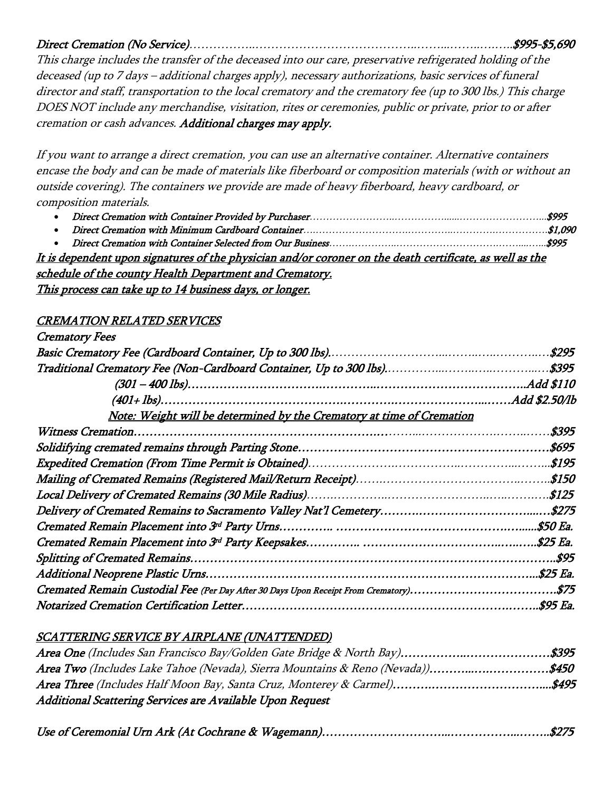#### Direct Cremation (No Service)……………..…………………………………..……...……..….…..\$995-\$5,690

This charge includes the transfer of the deceased into our care, preservative refrigerated holding of the deceased (up to 7 days – additional charges apply), necessary authorizations, basic services of funeral director and staff, transportation to the local crematory and the crematory fee (up to 300 lbs.) This charge DOES NOT include any merchandise, visitation, rites or ceremonies, public or private, prior to or after cremation or cash advances. Additional charges may apply.

If you want to arrange a direct cremation, you can use an alternative container. Alternative containers encase the body and can be made of materials like fiberboard or composition materials (with or without an outside covering). The containers we provide are made of heavy fiberboard, heavy cardboard, or composition materials.

- Direct Cremation with Container Provided by Purchaser……………………..……………......……………………...\$995
- Direct Cremation with Minimum Cardboard Container….……………………….…………..………….…………….\$1,090

• Direct Cremation with Container Selected from Our Business…….…………..………………………….……....…...\$995 It is dependent upon signatures of the physician and/or coroner on the death certificate, as well as the schedule of the county Health Department and Crematory. This process can take up to 14 business days, or longer.

## CREMATION RELATED SERVICES

## Crematory Fees Basic Crematory Fee (Cardboard Container, Up to 300 lbs).………………………...……..…..………..…\$295 Traditional Crematory Fee (Non-Cardboard Container, Up to 300 lbs).…………...……..…..………...…\$395 (301 – 400 lbs)…………………………….…………..………………………………..Add \$110 (401+ lbs)……………………………………….………….…………………...……Add \$2.50/lb Note: Weight will be determined by the Crematory at time of Cremation Witness Cremation…………………………………………………….………...……………….……..……\$395 Solidifying cremated remains through Parting Stone………………………………………………………\$695 Expedited Cremation (From Time Permit is Obtained)………………….……………..…………...……...\$195 Mailing of Cremated Remains (Registered Mail/Return Receipt)…….……………………………..……..\$150 Local Delivery of Cremated Remains (30 Mile Radius)…….…………..……………………..…..…….….\$125 Delivery of Cremated Remains to Sacramento Valley Nat'l Cemetery……….………………………....…\$2<sup>75</sup> Cremated Remain Placement into 3 rd Party Urns………….. …………………………………….…......\$50 Ea. Cremated Remain Placement into 3<sup>rd</sup> Party Keepsakes………………………………………………………………\$25 Ea. Splitting of Cremated Remains………………………………………………………………………………..\$95 Additional Neoprene Plastic Urns………………………………………………………………………...\$25 Ea. Cremated Remain Custodial Fee (Per Day After 30 Days Upon Receipt From Crematory)……………………………….\$75 Notarized Cremation Certification Letter………………………………………………………….……..\$95 Ea.

## SCATTERING SERVICE BY AIRPLANE (UNATTENDED)

| Area Two (Includes Lake Tahoe (Nevada), Sierra Mountains & Reno (Nevada))\$450 |  |
|--------------------------------------------------------------------------------|--|
|                                                                                |  |
| Additional Scattering Services are Available Upon Request                      |  |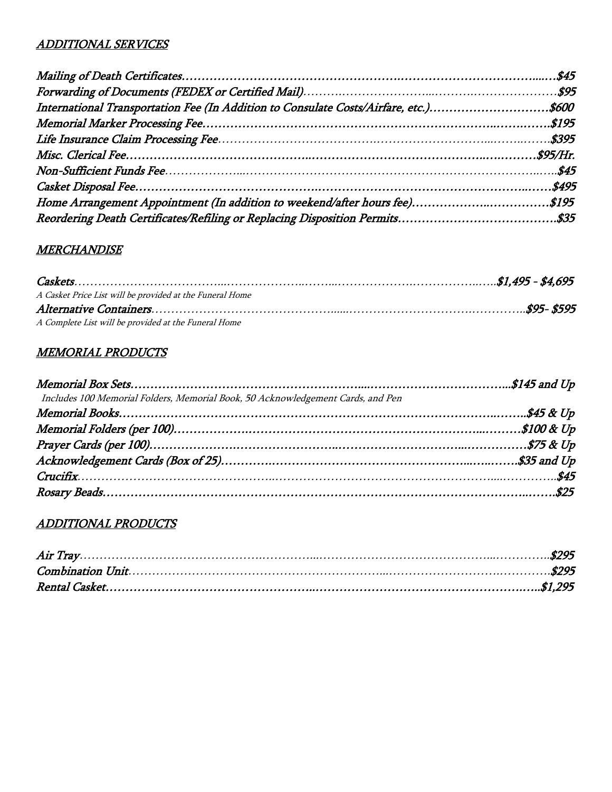## ADDITIONAL SERVICES

| International Transportation Fee (In Addition to Consulate Costs/Airfare, etc.)\$600 |  |
|--------------------------------------------------------------------------------------|--|
|                                                                                      |  |
|                                                                                      |  |
|                                                                                      |  |
|                                                                                      |  |
|                                                                                      |  |
| Home Arrangement Appointment (In addition to weekend/after hours fee)\$195           |  |
|                                                                                      |  |

## **MERCHANDISE**

| A Casket Price List will be provided at the Funeral Home |  |
|----------------------------------------------------------|--|
|                                                          |  |
| A Complete List will be provided at the Funeral Home     |  |

## **MEMORIAL PRODUCTS**

| Includes 100 Memorial Folders, Memorial Book, 50 Acknowledgement Cards, and Pen |  |
|---------------------------------------------------------------------------------|--|
|                                                                                 |  |
|                                                                                 |  |
|                                                                                 |  |
|                                                                                 |  |
|                                                                                 |  |
|                                                                                 |  |

### ADDITIONAL PRODUCTS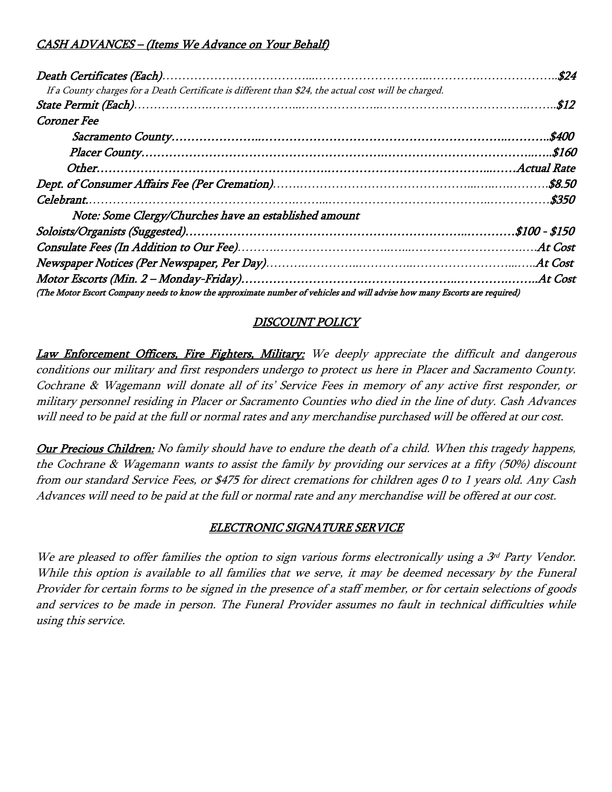## CASH ADVANCES – (Items We Advance on Your Behalf)

| If a County charges for a Death Certificate is different than \$24, the actual cost will be charged.                      |      |
|---------------------------------------------------------------------------------------------------------------------------|------|
|                                                                                                                           | .512 |
| <b>Coroner Fee</b>                                                                                                        |      |
|                                                                                                                           |      |
|                                                                                                                           |      |
|                                                                                                                           |      |
|                                                                                                                           |      |
|                                                                                                                           |      |
| Note: Some Clergy/Churches have an established amount                                                                     |      |
|                                                                                                                           |      |
|                                                                                                                           |      |
|                                                                                                                           |      |
|                                                                                                                           |      |
| (The Motor Escort Company needs to know the approximate number of vehicles and will advise how many Escorts are required) |      |

## DISCOUNT POLICY

Law Enforcement Officers, Fire Fighters, Military: We deeply appreciate the difficult and dangerous conditions our military and first responders undergo to protect us here in Placer and Sacramento County. Cochrane & Wagemann <sup>w</sup>ill donate all of its' Service Fees in memory of any active first responder, or military personnel residing in Placer or Sacramento Counties who died in the line of duty. Cash Advances will need to be paid at the full or normal rates and any merchandise purchased will be offered at our cost.

Our Precious Children: No family should have to endure the death of a child. When this tragedy happens, the Cochrane & Wagemann wants to assist the family by providing our services at a fifty (50%) discount from our standard Service Fees, or \$475 for direct cremations for children ages 0 to 1 years old. Any Cash Advances will need to be paid at the full or normal rate and any merchandise will be offered at our cost.

#### ELECTRONIC SIGNATURE SERVICE

We are pleased to offer families the option to sign various forms electronically using a  $3<sup>rd</sup>$  Party Vendor. While this option is available to all families that we serve, it may be deemed necessary by the Funeral Provider for certain forms to be signed in the presence of a staff member, or for certain selections of goods and services to be made in person. The Funeral Provider assumes no fault in technical difficulties while using this service.